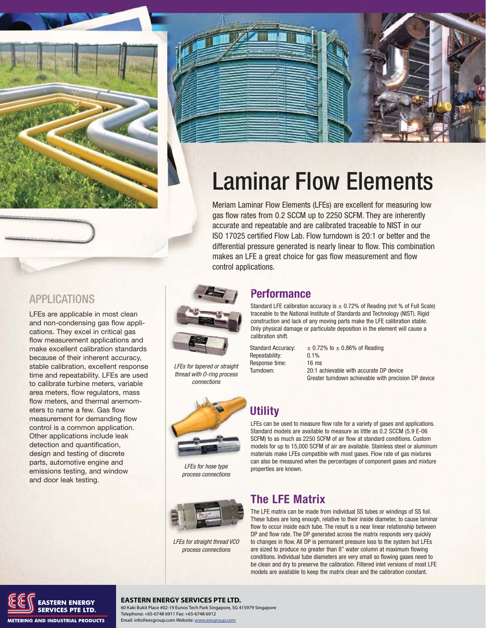



# Laminar Flow Elements

Meriam Laminar Flow Elements (LFEs) are excellent for measuring low gas flow rates from 0.2 SCCM up to 2250 SCFM. They are inherently accurate and repeatable and are calibrated traceable to NIST in our ISO 17025 certified Flow Lab. Flow turndown is 20:1 or better and the differential pressure generated is nearly linear to flow. This combination makes an LFE a great choice for gas flow measurement and flow control applications.



LFEs for tapered or straight thread with O-ring process connections



LFEs for hose type process connections



LFEs for straight thread VCO process connections

# **Performance P**

Standard LFE calibration accuracy is  $\pm$  0.72% of Reading (not % of Full Scale) traceable to the National Institute of Standards and Technology (NIST). Rigid tr construction and lack of any moving parts make the LFE calibration stable. c Only physical damage or particulate deposition in the element will cause a O calibration shift. c

Repeatability: 0.1% Response time: 16 ms

Standard Accuracy:  $\pm 0.72\%$  to  $\pm 0.86\%$  of Reading Turndown: 20:1 achievable with accurate DP device Greater turndown achievable with precision DP device

# **Utility U**

LFEs can be used to measure flow rate for a variety of gases and applications. L Standard models are available to measure as little as 0.2 SCCM (5.9 E-06 SCFM) to as much as 2250 SCFM of air flow at standard conditions. Custom models for up to 15,000 SCFM of air are available. Stainless steel or aluminum materials make LFEs compatible with most gases. Flow rate of gas mixtures can also be measured when the percentages of component gases and mixture properties are known.

# **The LFE Matrix**

The LFE matrix can be made from individual SS tubes or windings of SS foil. These tubes are long enough, relative to their inside diameter, to cause laminar flow to occur inside each tube. The result is a near linear relationship between DP and flow rate. The DP generated across the matrix responds very quickly to changes in flow. All DP is permanent pressure loss to the system but LFEs are sized to produce no greater than 8" water column at maximum flowing conditions. Individual tube diameters are very small so flowing gases need to be clean and dry to preserve the calibration. Filtered inlet versions of most LFE models are available to keep the matrix clean and the calibration constant.

# APPLICATIONS

LFEs are applicable in most clean and non-condensing gas flow applications. They excel in critical gas flow measurement applications and make excellent calibration standards because of their inherent accuracy, stable calibration, excellent response time and repeatability. LFEs are used to calibrate turbine meters, variable area meters, flow regulators, mass flow meters, and thermal anemometers to name a few. Gas flow measurement for demanding flow control is a common application. Other applications include leak detection and quantification, design and testing of discrete parts, automotive engine and emissions testing, and window and door leak testing.



### **EASTERN ENERGY SERVICES PTE LTD.**

**EXECUTE:**<br> **SERVICES PTE LTD.** 60 Kaki Bukit Place #02-19 Eunos Tech Park Singapore, SG 415979 Singapore<br> **SERVICES PTE LTD.** Telephone: +65-6748 6911 Fax: +65-6748 6912 Telephone: +65-6748 6911 Fax: +65-6748 6912 Email: info@eesgroup.com Website: www.eesgroup.com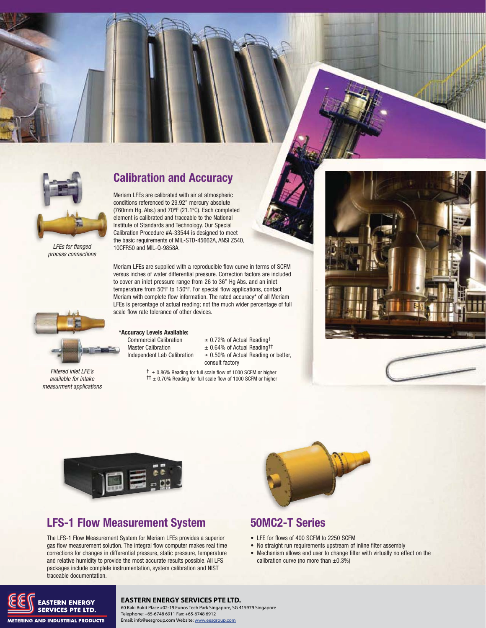



LFEs for flanged process connections

## **Calibration and Accuracy**

Meriam LFEs are calibrated with air at atmospheric conditions referenced to 29.92" mercury absolute (760mm Hg. Abs.) and 70ºF (21.1ºC). Each completed element is calibrated and traceable to the National Institute of Standards and Technology. Our Special Calibration Procedure #A-33544 is designed to meet the basic requirements of MIL-STD-45662A, ANSI Z540, 10CFR50 and MIL-Q-9858A.

Meriam LFEs are supplied with a reproducible flow curve in terms of SCFM versus inches of water differential pressure. Correction factors are included to cover an inlet pressure range from 26 to 36" Hg Abs. and an inlet temperature from 50ºF to 150ºF. For special flow applications, contact Meriam with complete flow information. The rated accuracy\* of all Meriam LFEs is percentage of actual reading; not the much wider percentage of full scale flow rate tolerance of other devices.



Filtered inlet LFE's available for intake measurment applications

### **\*Accuracy Levels Available: \*A**

Master Calibration  $\pm 0.64\%$  of Actual Readingth

Commercial Calibration  $\pm 0.72$ % of Actual Reading<sup>†</sup> Independent Lab Calibration  $\pm 0.50\%$  of Actual Reading or better, consult factory

 $\dagger$   $\pm$  0.86% Reading for full scale flow of 1000 SCFM or higher  $\uparrow$  ± 0.70% Reading for full scale flow of 1000 SCFM or higher



# **LFS-1 Flow Measurement System 50MC2-T Series**

The LFS-1 Flow Measurement System for Meriam LFEs provides a superior gas flow measurement solution. The integral flow computer makes real time corrections for changes in differential pressure, static pressure, temperature and relative humidity to provide the most accurate results possible. All LFS packages include complete instrumentation, system calibration and NIST traceable documentation.



- LFE for flows of 400 SCFM to 2250 SCFM
- No straight run requirements upstream of inline filter assembly
- Mechanism allows end user to change filter with virtually no effect on the calibration curve (no more than  $\pm 0.3\%$ )



### **EASTERN ENERGY SERVICES PTE LTD.**

60 Kaki Bukit Place #02-19 Eunos Tech Park Singapore, SG 415979 Singapore Telephone: +65-6748 6911 Fax: +65-6748 6912 Email: info@eesgroup.com Website: www.eesgroup.com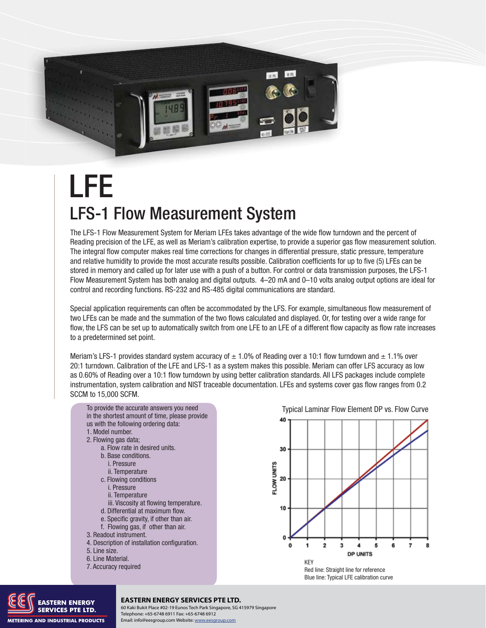

# LFS-1 Flow Measurement System LFE

The LFS-1 Flow Measurement System for Meriam LFEs takes advantage of the wide flow turndown and the percent of Reading precision of the LFE, as well as Meriam's calibration expertise, to provide a superior gas flow measurement solution. The integral flow computer makes real time corrections for changes in differential pressure, static pressure, temperature and relative humidity to provide the most accurate results possible. Calibration coefficients for up to five (5) LFEs can be stored in memory and called up for later use with a push of a button. For control or data transmission purposes, the LFS-1 Flow Measurement System has both analog and digital outputs. 4–20 mA and 0–10 volts analog output options are ideal for control and recording functions. RS-232 and RS-485 digital communications are standard.

Special application requirements can often be accommodated by the LFS. For example, simultaneous flow measurement of two LFEs can be made and the summation of the two flows calculated and displayed. Or, for testing over a wide range for flow, the LFS can be set up to automatically switch from one LFE to an LFE of a different flow capacity as flow rate increases to a predetermined set point.

Meriam's LFS-1 provides standard system accuracy of  $\pm$  1.0% of Reading over a 10:1 flow turndown and  $\pm$  1.1% over 20:1 turndown. Calibration of the LFE and LFS-1 as a system makes this possible. Meriam can offer LFS accuracy as low as 0.60% of Reading over a 10:1 flow turndown by using better calibration standards. All LFS packages include complete instrumentation, system calibration and NIST traceable documentation. LFEs and systems cover gas flow ranges from 0.2 SCCM to 15,000 SCFM.





**METERING AND INDUSTRIAL PRODUCTS** 

### **EASTERN ENERGY SERVICES PTE LTD.**

**108 TECHNOLOGY PROCESS PTE LTD.**<br> **1088 FRANCES PTE LTD.** Telephone: +65-6748 6911 Fax: +65-6748 6912<br> **1088 FRANCES PTE LTD.** Telephone: +65-6748 6911 Fax: +65-6748 6912 Telephone: +65-6748 6911 Fax: +65-6748 6912 Email: info@eesgroup.com Website: www.eesgroup.com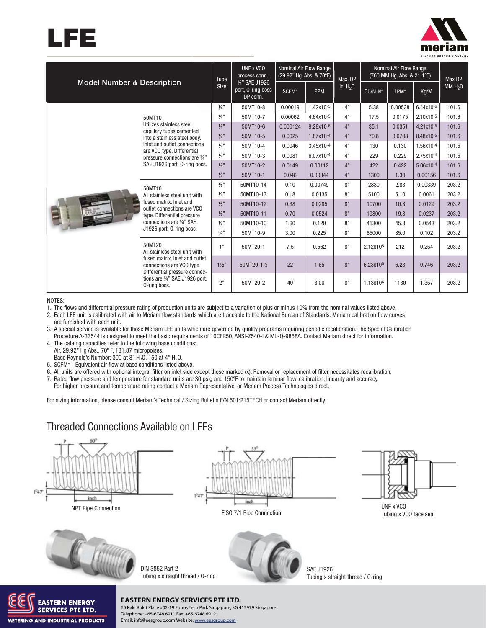



| <b>Model Number &amp; Description</b> |                                                                                                                                                                                                                               | Tube            | UNF x VCO<br>process conn                       | Nominal Air Flow Range<br>(29.92" Hg. Abs. & 70°F) |                | Max. DP   | Nominal Air Flow Range<br>(760 MM Hg. Abs. & 21.1°C) |         |                | <b>Max DP</b> |
|---------------------------------------|-------------------------------------------------------------------------------------------------------------------------------------------------------------------------------------------------------------------------------|-----------------|-------------------------------------------------|----------------------------------------------------|----------------|-----------|------------------------------------------------------|---------|----------------|---------------|
|                                       |                                                                                                                                                                                                                               | <b>Size</b>     | 1/4" SAE J1926<br>port, O-ring boss<br>DP conn. | SCFM*                                              | <b>PPM</b>     | In. $H20$ | CC/MIN*                                              | LPM*    | Kg/M           | MM $H20$      |
|                                       |                                                                                                                                                                                                                               | $\frac{1}{4}$ " | 50MT10-8                                        | 0.00019                                            | 1.42x10-5      | 4"        | 5.38                                                 | 0.00538 | $6.44x10^{-6}$ | 101.6         |
|                                       | 50MT10<br>Utilizes stainless steel<br>capillary tubes cemented<br>into a stainless steel body.<br>Inlet and outlet connections<br>are VCO type. Differential<br>pressure connections are 1/4"<br>SAE J1926 port, O-ring boss. | $\frac{1}{4}$ " | 50MT10-7                                        | 0.00062                                            | 4.64x10-5      | 4"        | 17.5                                                 | 0.0175  | $2.10x10^{-5}$ | 101.6         |
|                                       |                                                                                                                                                                                                                               | $\frac{1}{4}$ " | 50MT10-6                                        | 0.000124                                           | $9.28x10^{-5}$ | 4"        | 35.1                                                 | 0.0351  | $4.21x10^{-5}$ | 101.6         |
|                                       |                                                                                                                                                                                                                               | $\frac{1}{4}$ " | 50MT10-5                                        | 0.0025                                             | 1.87x10-4      | 4"        | 70.8                                                 | 0.0708  | 8.48x10-5      | 101.6         |
|                                       |                                                                                                                                                                                                                               | 1/a''           | 50MT10-4                                        | 0.0046                                             | $3.45x10^{-4}$ | 4"        | 130                                                  | 0.130   | 1.56x10-4      | 101.6         |
|                                       |                                                                                                                                                                                                                               | $\frac{1}{4}$ " | 50MT10-3                                        | 0.0081                                             | 6.07x10-4      | 4"        | 229                                                  | 0.229   | 2.75x10-4      | 101.6         |
|                                       |                                                                                                                                                                                                                               | $1/a$ "         | 50MT10-2                                        | 0.0149                                             | 0.00112        | 4"        | 422                                                  | 0.422   | 5.06x10-4      | 101.6         |
|                                       |                                                                                                                                                                                                                               | $\frac{1}{4}$ " | 50MT10-1                                        | 0.046                                              | 0.00344        | 4"        | 1300                                                 | 1.30    | 0.00156        | 101.6         |
|                                       | 50MT10<br>All stainless steel unit with<br>fused matrix, Inlet and<br>outlet connections are VCO<br>type. Differential pressure<br>connections are 1/4" SAE<br>J1926 port, 0-ring boss.                                       | 1/2"            | 50MT10-14                                       | 0.10                                               | 0.00749        | 8"        | 2830                                                 | 2.83    | 0.00339        | 203.2         |
|                                       |                                                                                                                                                                                                                               | 1/2"            | 50MT10-13                                       | 0.18                                               | 0.0135         | 8"        | 5100                                                 | 5.10    | 0.0061         | 203.2         |
|                                       |                                                                                                                                                                                                                               | 1/2"            | 50MT10-12                                       | 0.38                                               | 0.0285         | 8"        | 10700                                                | 10.8    | 0.0129         | 203.2         |
|                                       |                                                                                                                                                                                                                               | 1/2"            | 50MT10-11                                       | 0.70                                               | 0.0524         | 8"        | 19800                                                | 19.8    | 0.0237         | 203.2         |
|                                       |                                                                                                                                                                                                                               | 1/2"            | 50MT10-10                                       | 1.60                                               | 0.120          | 8"        | 45300                                                | 45.3    | 0.0543         | 203.2         |
|                                       |                                                                                                                                                                                                                               | $3/4$ "         | 50MT10-9                                        | 3.00                                               | 0.225          | 8"        | 85000                                                | 85.0    | 0.102          | 203.2         |
|                                       | 50MT20<br>All stainless steel unit with<br>fused matrix. Inlet and outlet<br>connections are VCO type.<br>Differential pressure connec-<br>tions are 1/4" SAE J1926 port.<br>O-ring boss.                                     | 1"              | 50MT20-1                                        | 7.5                                                | 0.562          | 8"        | 2.12x10 <sup>5</sup>                                 | 212     | 0.254          | 203.2         |
|                                       |                                                                                                                                                                                                                               | $1\frac{1}{2}$  | 50MT20-11/2                                     | 22                                                 | 1.65           | 8"        | 6.23x10 <sup>5</sup>                                 | 6.23    | 0.746          | 203.2         |
|                                       |                                                                                                                                                                                                                               | 2"              | 50MT20-2                                        | 40                                                 | 3.00           | 8"        | 1.13x10 <sup>6</sup>                                 | 1130    | 1.357          | 203.2         |

NOTES:

**METERING AND INDUSTRIAL PRODUCTS** 

1. The flows and differential pressure rating of production units are subject to a variation of plus or minus 10% from the nominal values listed above.

2. Each LFE unit is calibrated with air to Meriam flow standards which are traceable to the National Bureau of Standards. Meriam calibration flow curves are furnished with each unit.

3. A special service is available for those Meriam LFE units which are governed by quality programs requiring periodic recalibration. The Special Calibration Procedure A-33544 is designed to meet the basic requirements of 10CFR50, ANSI-Z540-I & ML-Q-9858A. Contact Meriam direct for information.

4. The catalog capacities refer to the following base conditions: Air, 29.92" Hg Abs., 70º F, 181.87 micropoises.

Base Reynold's Number: 300 at 8"  $H<sub>2</sub>0$ , 150 at 4"  $H<sub>2</sub>0$ .

5. SCFM\* - Equivalent air flow at base conditions listed above.

6. All units are offered with optional integral filter on inlet side except those marked (x). Removal or replacement of filter necessitates recalibration.

7. Rated flow pressure and temperature for standard units are 30 psig and 150ºF to maintain laminar flow, calibration, linearity and accuracy.

For higher pressure and temperature rating contact a Meriam Representative, or Meriam Process Technologies direct.

For sizing information, please consult Meriam's Technical / Sizing Bulletin F/N 501:215TECH or contact Meriam directly.

## Threaded Connections Available on LFEs



Telephone: +65-6748 6911 Fax: +65-6748 6912 Email: info@eesgroup.com Website: www.eesgroup.com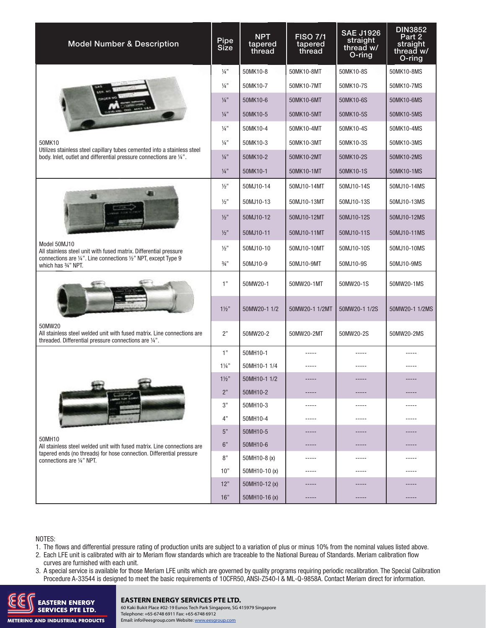| <b>Model Number &amp; Description</b>                                                                                                           | Pipe<br>Size    | <b>NPT</b><br>tapered<br>thread | <b>FISO 7/1</b><br>tapered<br>thread | <b>SAE J1926</b><br>straight<br>thread w/<br>O-ring | <b>DIN3852</b><br>Part 2<br>straight<br>thread w/<br>O-ring |
|-------------------------------------------------------------------------------------------------------------------------------------------------|-----------------|---------------------------------|--------------------------------------|-----------------------------------------------------|-------------------------------------------------------------|
|                                                                                                                                                 |                 | 50MK10-8                        | 50MK10-8MT                           | 50MK10-8S                                           | 50MK10-8MS                                                  |
|                                                                                                                                                 |                 | 50MK10-7                        | 50MK10-7MT                           | 50MK10-7S                                           | 50MK10-7MS                                                  |
|                                                                                                                                                 | $\frac{1}{4}$ " | 50MK10-6                        | 50MK10-6MT                           | 50MK10-6S                                           | 50MK10-6MS                                                  |
|                                                                                                                                                 | $\frac{1}{4}$ " | 50MK10-5                        | 50MK10-5MT                           | 50MK10-5S                                           | 50MK10-5MS                                                  |
|                                                                                                                                                 | $\frac{1}{4}$ " | 50MK10-4                        | 50MK10-4MT                           | 50MK10-4S                                           | 50MK10-4MS                                                  |
| 50MK10<br>Utilizes stainless steel capillary tubes cemented into a stainless steel                                                              | $\frac{1}{4}$ " | 50MK10-3                        | 50MK10-3MT                           | 50MK10-3S                                           | 50MK10-3MS                                                  |
| body. Inlet, outlet and differential pressure connections are 1/4".                                                                             | $\frac{1}{4}$ " | 50MK10-2                        | 50MK10-2MT                           | 50MK10-2S                                           | 50MK10-2MS                                                  |
|                                                                                                                                                 | $\frac{1}{4}$ " | 50MK10-1                        | 50MK10-1MT                           | 50MK10-1S                                           | 50MK10-1MS                                                  |
|                                                                                                                                                 | 1/2"            | 50MJ10-14                       | 50MJ10-14MT                          | 50MJ10-14S                                          | 50MJ10-14MS                                                 |
|                                                                                                                                                 | 1/2"            | 50MJ10-13                       | 50MJ10-13MT                          | 50MJ10-13S                                          | 50MJ10-13MS                                                 |
|                                                                                                                                                 |                 | 50MJ10-12                       | 50MJ10-12MT                          | 50MJ10-12S                                          | 50MJ10-12MS                                                 |
|                                                                                                                                                 | 1/2"            | 50MJ10-11                       | 50MJ10-11MT                          | 50MJ10-11S                                          | 50MJ10-11MS                                                 |
| Model 50MJ10<br>All stainless steel unit with fused matrix. Differential pressure                                                               | 1/2"            | 50MJ10-10                       | 50MJ10-10MT                          | 50MJ10-10S                                          | 50MJ10-10MS                                                 |
| connections are 1/4". Line connections 1/2" NPT, except Type 9<br>which has 3/4" NPT.                                                           | $\frac{3}{4}$ " | 50MJ10-9                        | 50MJ10-9MT                           | 50MJ10-9S                                           | 50MJ10-9MS                                                  |
|                                                                                                                                                 |                 | 50MW20-1                        | 50MW20-1MT                           | 50MW20-1S                                           | 50MW20-1MS                                                  |
|                                                                                                                                                 |                 | 50MW20-1 1/2                    | 50MW20-1 1/2MT                       | 50MW20-1 1/2S                                       | 50MW20-1 1/2MS                                              |
| 50MW20<br>All stainless steel welded unit with fused matrix. Line connections are<br>threaded. Differential pressure connections are 1/4".      | 2"              | 50MW20-2                        | 50MW20-2MT                           | 50MW20-2S                                           | 50MW20-2MS                                                  |
|                                                                                                                                                 | 1"              | 50MH10-1                        |                                      |                                                     |                                                             |
|                                                                                                                                                 | $1\frac{1}{4}$  | 50MH10-1 1/4                    |                                      |                                                     |                                                             |
|                                                                                                                                                 | $1\frac{1}{2}$  | 50MH10-1 1/2                    |                                      |                                                     |                                                             |
|                                                                                                                                                 | 2"              | 50MH10-2                        |                                      | -----                                               |                                                             |
|                                                                                                                                                 |                 | 50MH10-3                        | $- - - - -$                          | -----                                               | -----                                                       |
|                                                                                                                                                 | 4"              | 50MH10-4                        | $- - - - -$                          | $- - - - -$                                         | -----                                                       |
| 50MH10                                                                                                                                          | 5"<br>6"        | 50MH10-5                        | -----                                | -----                                               |                                                             |
| All stainless steel welded unit with fused matrix. Line connections are<br>tapered ends (no threads) for hose connection. Differential pressure | 8"              | 50MH10-6<br>50MH10-8 (x)        | $----$                               | -----<br>-----                                      | -----                                                       |
| connections are 1/4" NPT.                                                                                                                       | 10"             | 50MH10-10 (x)                   | -----<br>$- - - - -$                 | -----                                               |                                                             |
|                                                                                                                                                 | 12"             | 50MH10-12 (x)                   |                                      |                                                     |                                                             |
|                                                                                                                                                 | 16"             | 50MH10-16 (x)                   | -----                                | -----                                               |                                                             |

NOTES:

1. The flows and differential pressure rating of production units are subject to a variation of plus or minus 10% from the nominal values listed above.

- 2. Each LFE unit is calibrated with air to Meriam flow standards which are traceable to the National Bureau of Standards. Meriam calibration flow curves are furnished with each unit.
- 3. A special service is available for those Meriam LFE units which are governed by quality programs requiring periodic recalibration. The Special Calibration Procedure A-33544 is designed to meet the basic requirements of 10CFR50, ANSI-Z540-I & ML-Q-9858A. Contact Meriam direct for information.



### **EASTERN ENERGY SERVICES PTE LTD.**

**Meriam Process Technologies** www.meriam.com **ph:** 800.817.7849 **fax:** 216.281.0228 60 Kaki Bukit Place #02-19 Eunos Tech Park Singapore, SG 415979 Singapore Telephone: +65-6748 6911 Fax: +65-6748 6912 Email: info@eesgroup.com Website: www.eesgroup.com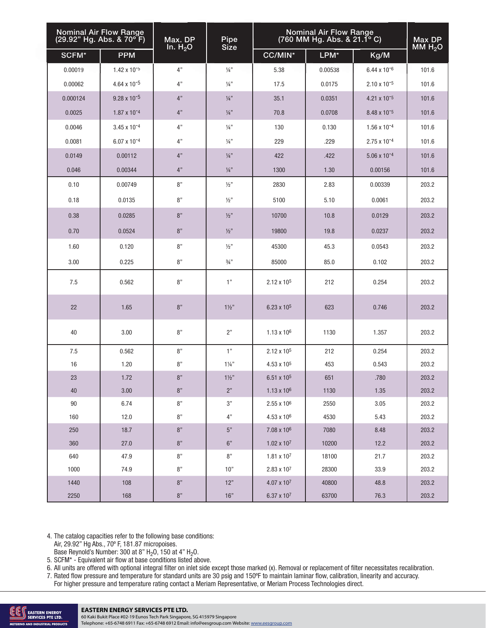| <b>Nominal Air Flow Range</b><br>(29.92" Hg. Abs. & 70°F) |                         | Max. DP<br>In. $H_2O$ | Pipe<br>Size    | <b>Nominal Air Flow Range</b><br>$(760$ MM Hg. Abs. & 21.1 $^{\circ}$ C) | Max DP<br>MM $H_2O$ |                         |       |
|-----------------------------------------------------------|-------------------------|-----------------------|-----------------|--------------------------------------------------------------------------|---------------------|-------------------------|-------|
| SCFM*                                                     | <b>PPM</b>              |                       |                 | CC/MIN*                                                                  | LPM*                | Kg/M                    |       |
| 0.00019                                                   | $1.42 \times 10^{-5}$   | 4"                    | $\frac{1}{4}$ " | 5.38                                                                     | 0.00538             | 6.44 x 10 <sup>-6</sup> | 101.6 |
| 0.00062                                                   | $4.64 \times 10^{-5}$   | 4"                    | $\frac{1}{4}$ " | 17.5                                                                     | 0.0175              | $2.10 \times 10^{-5}$   | 101.6 |
| 0.000124                                                  | $9.28 \times 10^{-5}$   | 4"                    | $\frac{1}{4}$ " | 35.1                                                                     | 0.0351              | 4.21 x 10 <sup>-5</sup> | 101.6 |
| 0.0025                                                    | 1.87 x 10 <sup>-4</sup> | 4"                    | $\frac{1}{4}$ " | 70.8                                                                     | 0.0708              | 8.48 x 10 <sup>-5</sup> | 101.6 |
| 0.0046                                                    | $3.45 \times 10^{-4}$   | 4"                    | $\frac{1}{4}$ " | 130                                                                      | 0.130               | 1.56 x 10 <sup>-4</sup> | 101.6 |
| 0.0081                                                    | 6.07 x 10 <sup>-4</sup> | 4"                    | $\frac{1}{4}$ " | 229                                                                      | .229                | 2.75 x 10 <sup>-4</sup> | 101.6 |
| 0.0149                                                    | 0.00112                 | 4"                    | $\frac{1}{4}$ " | 422                                                                      | .422                | 5.06 x 10 <sup>-4</sup> | 101.6 |
| 0.046                                                     | 0.00344                 | 4"                    | $\frac{1}{4}$ " | 1300                                                                     | 1.30                | 0.00156                 | 101.6 |
| 0.10                                                      | 0.00749                 | 8"                    | 1/2"            | 2830                                                                     | 2.83                | 0.00339                 | 203.2 |
| 0.18                                                      | 0.0135                  | 8"                    | 1/2"            | 5100                                                                     | 5.10                | 0.0061                  | 203.2 |
| 0.38                                                      | 0.0285                  | 8"                    | 1/2"            | 10700                                                                    | 10.8                | 0.0129                  | 203.2 |
| 0.70                                                      | 0.0524                  | 8"                    | 1/2"            | 19800                                                                    | 19.8                | 0.0237                  | 203.2 |
| 1.60                                                      | 0.120                   | 8"                    | 1/2"            | 45300                                                                    | 45.3                | 0.0543                  | 203.2 |
| 3.00                                                      | 0.225                   | 8"                    | $\frac{3}{4}$ " | 85000                                                                    | 85.0                | 0.102                   | 203.2 |
| 7.5                                                       | 0.562                   | 8"                    | 1"              | $2.12 \times 10^5$                                                       | 212                 | 0.254                   | 203.2 |
| 22                                                        | 1.65                    | $8"$                  | $1\frac{1}{2}$  | $6.23 \times 10^5$                                                       | 623                 | 0.746                   | 203.2 |
| 40                                                        | 3.00                    | $8"$                  | 2"              | $1.13 \times 10^6$                                                       | 1130                | 1.357                   | 203.2 |
| 7.5                                                       | 0.562                   | 8"                    | 1"              | 2.12 x 10 <sup>5</sup>                                                   | 212                 | 0.254                   | 203.2 |
| 16                                                        | 1.20                    | 8"                    | $1\frac{1}{4}$  | 4.53 x 10 <sup>5</sup>                                                   | 453                 | 0.543                   | 203.2 |
| 23                                                        | 1.72                    | $8"$                  | $1\frac{1}{2}$  | $6.51 \times 10^{5}$                                                     | 651                 | .780                    | 203.2 |
| 40                                                        | 3.00                    | $8\mathrm{''}$        | $2"$            | $1.13 \times 10^6$                                                       | 1130                | 1.35                    | 203.2 |
| 90                                                        | 6.74                    | $8"$                  | 3"              | $2.55 \times 10^6$                                                       | 2550                | 3.05                    | 203.2 |
| 160                                                       | 12.0                    | 8"                    | 4"              | 4.53 x 106                                                               | 4530                | 5.43                    | 203.2 |
| 250                                                       | 18.7                    | $8\mathrm{''}$        | $5\mathrm{''}$  | 7.08 x 10 <sup>6</sup>                                                   | 7080                | 8.48                    | 203.2 |
| 360                                                       | 27.0                    | $8"$                  | $6"$            | $1.02 \times 10^7$                                                       | 10200               | 12.2                    | 203.2 |
| 640                                                       | 47.9                    | $8"$                  | $8"$            | $1.81 \times 10^7$                                                       | 18100               | 21.7                    | 203.2 |
| 1000                                                      | 74.9                    | $8"$                  | 10"             | $2.83 \times 10^7$                                                       | 28300               | 33.9                    | 203.2 |
| 1440                                                      | 108                     | $8\mathrm{''}$        | 12"             | $4.07 \times 10^7$                                                       | 40800               | 48.8                    | 203.2 |
| 2250                                                      | 168                     | $8"$                  | $16"$           | 6.37 x 107                                                               | 63700               | 76.3                    | 203.2 |

4. The catalog capacities refer to the following base conditions:

Air, 29.92" Hg Abs., 70º F, 181.87 micropoises.

Base Reynold's Number: 300 at 8"  $H<sub>2</sub>0$ , 150 at 4"  $H<sub>2</sub>0$ .

5. SCFM\* - Equivalent air flow at base conditions listed above.

6. All units are offered with optional integral filter on inlet side except those marked (x). Removal or replacement of filter necessitates recalibration. 7. Rated flow pressure and temperature for standard units are 30 psig and 150ºF to maintain laminar flow, calibration, linearity and accuracy.

For higher pressure and temperature rating contact a Meriam Representative, or Meriam Process Technologies direct.



60 Kaki Bukit Place #02-19 Eunos Tech Park Singapore, SG 415979 Singapore Telephone: +65-6748 6911 Fax: +65-6748 6912 Email: info@eesgroup.com Website: www.eesgroup.com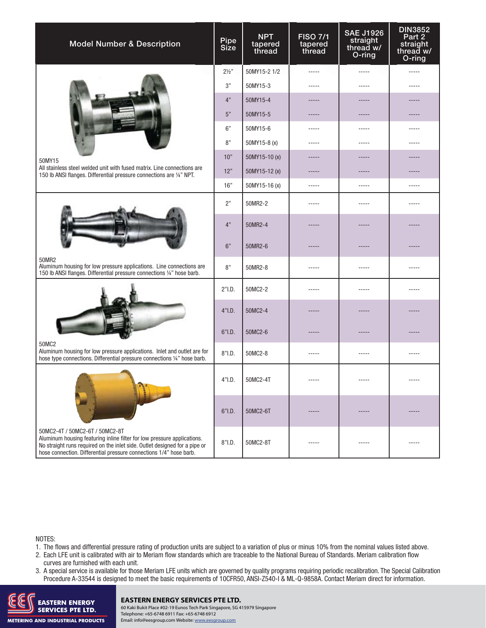| <b>Model Number &amp; Description</b>                                                                                                                                                                                                                         | Pipe<br>Size | <b>NPT</b><br>tapered<br>thread | <b>FISO 7/1</b><br>tapered<br>thread | <b>SAE J1926</b><br>straight<br>thread w/<br>O-ring | <b>DIN3852</b><br>Part 2<br>straight<br>thread w/<br>O-ring |
|---------------------------------------------------------------------------------------------------------------------------------------------------------------------------------------------------------------------------------------------------------------|--------------|---------------------------------|--------------------------------------|-----------------------------------------------------|-------------------------------------------------------------|
|                                                                                                                                                                                                                                                               |              | 50MY15-2 1/2                    | -----                                | -----                                               | -----                                                       |
|                                                                                                                                                                                                                                                               | 3"           | 50MY15-3                        | -----                                | -----                                               |                                                             |
|                                                                                                                                                                                                                                                               | 4"           | 50MY15-4                        |                                      |                                                     |                                                             |
|                                                                                                                                                                                                                                                               | 5"           | 50MY15-5                        |                                      | -----                                               |                                                             |
|                                                                                                                                                                                                                                                               | 6"           | 50MY15-6                        | -----                                | -----                                               | -----                                                       |
|                                                                                                                                                                                                                                                               | 8"           | 50MY15-8 (x)                    | -----                                | -----                                               |                                                             |
| 50MY15                                                                                                                                                                                                                                                        | 10"          | 50MY15-10(x)                    |                                      |                                                     |                                                             |
| All stainless steel welded unit with fused matrix. Line connections are<br>150 lb ANSI flanges. Differential pressure connections are 1/4" NPT.                                                                                                               | 12"          | 50MY15-12 (x)                   |                                      |                                                     |                                                             |
|                                                                                                                                                                                                                                                               | 16"          | 50MY15-16 (x)                   | $- - - - -$                          | -----                                               | -----                                                       |
|                                                                                                                                                                                                                                                               |              | 50MR2-2                         | -----                                | -----                                               |                                                             |
|                                                                                                                                                                                                                                                               |              | 50MR2-4                         |                                      |                                                     |                                                             |
|                                                                                                                                                                                                                                                               |              | 50MR2-6                         |                                      |                                                     |                                                             |
| 50MR2<br>Aluminum housing for low pressure applications. Line connections are<br>150 lb ANSI flanges. Differential pressure connections 1/4" hose barb.                                                                                                       | 8"           | 50MR2-8                         | -----                                | -----                                               | -----                                                       |
|                                                                                                                                                                                                                                                               |              | 50MC2-2                         | -----                                | -----                                               | -----                                                       |
|                                                                                                                                                                                                                                                               |              | 50MC2-4                         |                                      |                                                     |                                                             |
|                                                                                                                                                                                                                                                               | $6"$ I.D.    | 50MC2-6                         |                                      |                                                     |                                                             |
| 50MC2<br>Aluminum housing for low pressure applications. Inlet and outlet are for<br>hose type connections. Differential pressure connections 1/4" hose barb.                                                                                                 | 8"I.D.       | 50MC2-8                         | -----                                | -----                                               | -----                                                       |
|                                                                                                                                                                                                                                                               | 4"I.D.       | 50MC2-4T                        |                                      |                                                     |                                                             |
|                                                                                                                                                                                                                                                               | $6"$ I.D.    | 50MC2-6T                        |                                      |                                                     |                                                             |
| 50MC2-4T / 50MC2-6T / 50MC2-8T<br>Aluminum housing featuring inline filter for low pressure applications.<br>No straight runs required on the inlet side. Outlet designed for a pipe or<br>hose connection. Differential pressure connections 1/4" hose barb. | $8"$ I.D.    | 50MC2-8T                        | -----                                | -----                                               | -----                                                       |

NOTES:

1. The flows and differential pressure rating of production units are subject to a variation of plus or minus 10% from the nominal values listed above.

- 2. Each LFE unit is calibrated with air to Meriam flow standards which are traceable to the National Bureau of Standards. Meriam calibration flow curves are furnished with each unit.
- 3. A special service is available for those Meriam LFE units which are governed by quality programs requiring periodic recalibration. The Special Calibration Procedure A-33544 is designed to meet the basic requirements of 10CFR50, ANSI-Z540-I & ML-Q-9858A. Contact Meriam direct for information.



### **EASTERN ENERGY SERVICES PTE LTD.**

**112 SERVICES PTE LTD.**<br>SERVICES PTE LTD. **Process Process and Telephone:** +65-6748 6911 Fax: +65-6748 6912 Telephone: +65-6748 6911 Fax: +65-6748 6912 Email: info@eesgroup.com Website: www.eesgroup.com